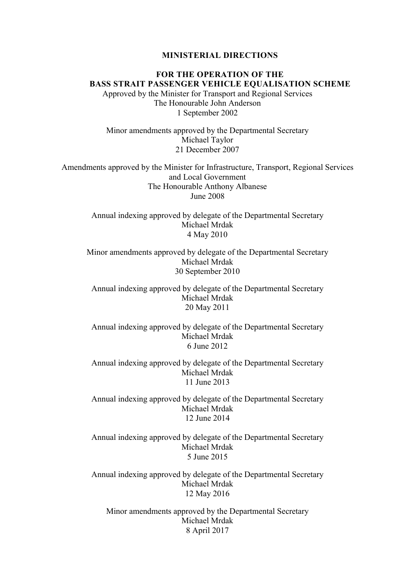#### MINISTERIAL DIRECTIONS

FOR THE OPERATION OF THE BASS STRAIT PASSENGER VEHICLE EQUALISATION SCHEME Approved by the Minister for Transport and Regional Services The Honourable John Anderson 1 September 2002

Minor amendments approved by the Departmental Secretary Michael Taylor 21 December 2007

Amendments approved by the Minister for Infrastructure, Transport, Regional Services and Local Government The Honourable Anthony Albanese June 2008

> Annual indexing approved by delegate of the Departmental Secretary Michael Mrdak 4 May 2010

Minor amendments approved by delegate of the Departmental Secretary Michael Mrdak 30 September 2010

Annual indexing approved by delegate of the Departmental Secretary Michael Mrdak 20 May 2011

Annual indexing approved by delegate of the Departmental Secretary Michael Mrdak 6 June 2012

Annual indexing approved by delegate of the Departmental Secretary Michael Mrdak 11 June 2013

Annual indexing approved by delegate of the Departmental Secretary Michael Mrdak 12 June 2014

Annual indexing approved by delegate of the Departmental Secretary Michael Mrdak 5 June 2015

Annual indexing approved by delegate of the Departmental Secretary Michael Mrdak 12 May 2016

Minor amendments approved by the Departmental Secretary Michael Mrdak 8 April 2017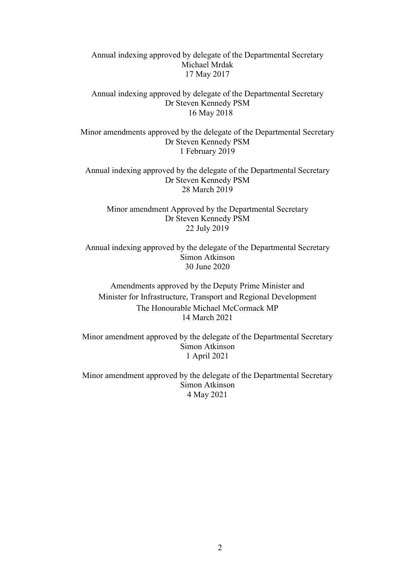Annual indexing approved by delegate of the Departmental Secretary Michael Mrdak 17 May 2017

Annual indexing approved by delegate of the Departmental Secretary Dr Steven Kennedy PSM 16 May 2018

Minor amendments approved by the delegate of the Departmental Secretary Dr Steven Kennedy PSM 1 February 2019

Annual indexing approved by the delegate of the Departmental Secretary Dr Steven Kennedy PSM 28 March 2019

Minor amendment Approved by the Departmental Secretary Dr Steven Kennedy PSM 22 July 2019

Annual indexing approved by the delegate of the Departmental Secretary Simon Atkinson 30 June 2020

Amendments approved by the Deputy Prime Minister and Minister for Infrastructure, Transport and Regional Development The Honourable Michael McCormack MP 14 March 2021

Minor amendment approved by the delegate of the Departmental Secretary Simon Atkinson 1 April 2021

Minor amendment approved by the delegate of the Departmental Secretary Simon Atkinson 4 May 2021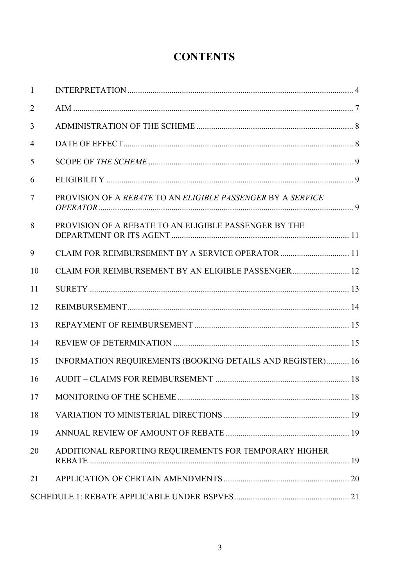# **CONTENTS**

| $\mathbf{1}$   |                                                             |
|----------------|-------------------------------------------------------------|
| $\overline{2}$ |                                                             |
| 3              |                                                             |
| 4              |                                                             |
| 5              |                                                             |
| 6              |                                                             |
| $\tau$         | PROVISION OF A REBATE TO AN ELIGIBLE PASSENGER BY A SERVICE |
| 8              | PROVISION OF A REBATE TO AN ELIGIBLE PASSENGER BY THE       |
| 9              | CLAIM FOR REIMBURSEMENT BY A SERVICE OPERATOR  11           |
| 10             | CLAIM FOR REIMBURSEMENT BY AN ELIGIBLE PASSENGER 12         |
| 11             |                                                             |
| 12             |                                                             |
| 13             |                                                             |
| 14             |                                                             |
| 15             | INFORMATION REQUIREMENTS (BOOKING DETAILS AND REGISTER) 16  |
| 16             |                                                             |
| 17             | .18                                                         |
| 18             |                                                             |
| 19             |                                                             |
| 20             | ADDITIONAL REPORTING REQUIREMENTS FOR TEMPORARY HIGHER      |
| 21             |                                                             |
|                |                                                             |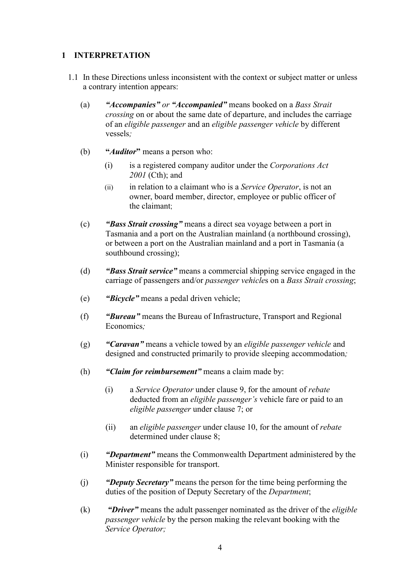# 1 INTERPRETATION

- 1.1 In these Directions unless inconsistent with the context or subject matter or unless a contrary intention appears:
	- (a) "Accompanies" or "Accompanied" means booked on a Bass Strait crossing on or about the same date of departure, and includes the carriage of an eligible passenger and an eligible passenger vehicle by different vessels;
	- (b) "*Auditor*" means a person who:
		- (i) is a registered company auditor under the Corporations Act 2001 (Cth); and
		- $(ii)$  in relation to a claimant who is a *Service Operator*, is not an owner, board member, director, employee or public officer of the claimant;
	- (c) "Bass Strait crossing" means a direct sea voyage between a port in Tasmania and a port on the Australian mainland (a northbound crossing), or between a port on the Australian mainland and a port in Tasmania (a southbound crossing);
	- (d) "Bass Strait service" means a commercial shipping service engaged in the carriage of passengers and/or passenger vehicles on a Bass Strait crossing;
	- (e) "Bicycle" means a pedal driven vehicle;
	- (f) "Bureau" means the Bureau of Infrastructure, Transport and Regional Economics:
	- (g) "Caravan" means a vehicle towed by an eligible passenger vehicle and designed and constructed primarily to provide sleeping accommodation;
	- (h) "Claim for reimbursement" means a claim made by:
		- (i) a Service Operator under clause 9, for the amount of rebate deducted from an eligible passenger's vehicle fare or paid to an eligible passenger under clause 7; or
		- (ii) an eligible passenger under clause 10, for the amount of rebate determined under clause 8;
	- (i) "Department" means the Commonwealth Department administered by the Minister responsible for transport.
	- (j) "Deputy Secretary" means the person for the time being performing the duties of the position of Deputy Secretary of the Department;
	- $(k)$  "Driver" means the adult passenger nominated as the driver of the *eligible* passenger vehicle by the person making the relevant booking with the Service Operator;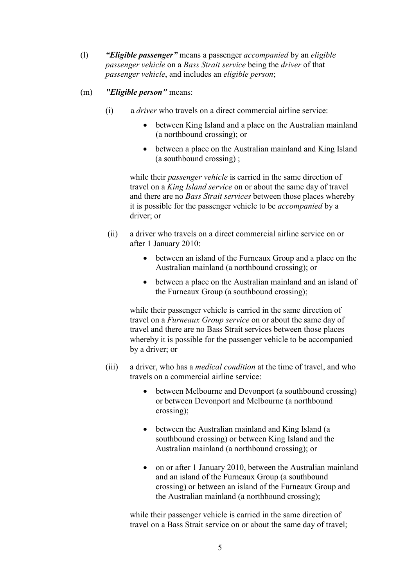- (1)  $"Eligible passenger" means a passenger accompanied by an eligible$ passenger vehicle on a Bass Strait service being the driver of that passenger vehicle, and includes an eligible person;
- (m) "Eligible person" means:
	- (i) a driver who travels on a direct commercial airline service:
		- between King Island and a place on the Australian mainland (a northbound crossing); or
		- between a place on the Australian mainland and King Island (a southbound crossing) ;

while their *passenger vehicle* is carried in the same direction of travel on a King Island service on or about the same day of travel and there are no Bass Strait services between those places whereby it is possible for the passenger vehicle to be *accompanied* by a driver; or

- (ii) a driver who travels on a direct commercial airline service on or after 1 January 2010:
	- between an island of the Furneaux Group and a place on the Australian mainland (a northbound crossing); or
	- between a place on the Australian mainland and an island of the Furneaux Group (a southbound crossing);

while their passenger vehicle is carried in the same direction of travel on a Furneaux Group service on or about the same day of travel and there are no Bass Strait services between those places whereby it is possible for the passenger vehicle to be accompanied by a driver; or

- (iii) a driver, who has a *medical condition* at the time of travel, and who travels on a commercial airline service:
	- between Melbourne and Devonport (a southbound crossing) or between Devonport and Melbourne (a northbound crossing);
	- between the Australian mainland and King Island (a southbound crossing) or between King Island and the Australian mainland (a northbound crossing); or
	- on or after 1 January 2010, between the Australian mainland and an island of the Furneaux Group (a southbound crossing) or between an island of the Furneaux Group and the Australian mainland (a northbound crossing);

while their passenger vehicle is carried in the same direction of travel on a Bass Strait service on or about the same day of travel;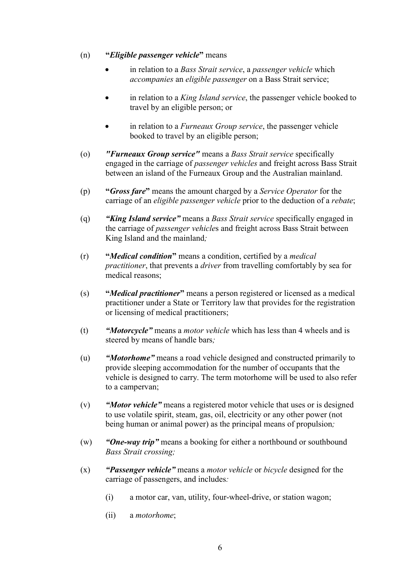#### (n) "Eligible passenger vehicle" means

- in relation to a Bass Strait service, a passenger vehicle which accompanies an eligible passenger on a Bass Strait service;
- in relation to a King Island service, the passenger vehicle booked to travel by an eligible person; or
- $\bullet$  in relation to a *Furneaux Group service*, the passenger vehicle booked to travel by an eligible person;
- (o) *"Furneaux Group service"* means a *Bass Strait service specifically* engaged in the carriage of passenger vehicles and freight across Bass Strait between an island of the Furneaux Group and the Australian mainland.
- (p) "Gross fare" means the amount charged by a Service Operator for the carriage of an eligible passenger vehicle prior to the deduction of a rebate;
- (q) "King Island service" means a Bass Strait service specifically engaged in the carriage of passenger vehicles and freight across Bass Strait between King Island and the mainland;
- $(r)$  "Medical condition" means a condition, certified by a *medical* practitioner, that prevents a driver from travelling comfortably by sea for medical reasons;
- (s) "Medical practitioner" means a person registered or licensed as a medical practitioner under a State or Territory law that provides for the registration or licensing of medical practitioners;
- (t) "Motorcycle" means a motor vehicle which has less than 4 wheels and is steered by means of handle bars;
- (u) "Motorhome" means a road vehicle designed and constructed primarily to provide sleeping accommodation for the number of occupants that the vehicle is designed to carry. The term motorhome will be used to also refer to a campervan;
- (v) "Motor vehicle" means a registered motor vehicle that uses or is designed to use volatile spirit, steam, gas, oil, electricity or any other power (not being human or animal power) as the principal means of propulsion;
- (w) "One-way trip" means a booking for either a northbound or southbound Bass Strait crossing;
- $(x)$  "Passenger vehicle" means a *motor vehicle* or *bicycle* designed for the carriage of passengers, and includes:
	- (i) a motor car, van, utility, four-wheel-drive, or station wagon;
	- (ii) a motorhome;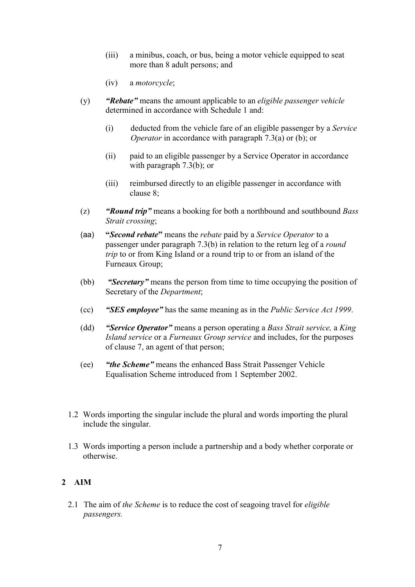- (iii) a minibus, coach, or bus, being a motor vehicle equipped to seat more than 8 adult persons; and
- (iv) a motorcycle;
- (y) **"Rebate"** means the amount applicable to an *eligible passenger vehicle* determined in accordance with Schedule 1 and:
	- (i) deducted from the vehicle fare of an eligible passenger by a Service Operator in accordance with paragraph 7.3(a) or (b); or
	- (ii) paid to an eligible passenger by a Service Operator in accordance with paragraph 7.3(b); or
	- (iii) reimbursed directly to an eligible passenger in accordance with clause 8;
- (z) **"Round trip"** means a booking for both a northbound and southbound *Bass* Strait crossing;
- (aa) "Second rebate" means the rebate paid by a Service Operator to a passenger under paragraph 7.3(b) in relation to the return leg of a round trip to or from King Island or a round trip to or from an island of the Furneaux Group;
- (bb) "Secretary" means the person from time to time occupying the position of Secretary of the Department;
- (cc) "SES employee" has the same meaning as in the Public Service Act 1999.
- (dd) "Service Operator" means a person operating a Bass Strait service, a King Island service or a Furneaux Group service and includes, for the purposes of clause 7, an agent of that person;
- (ee) "the Scheme" means the enhanced Bass Strait Passenger Vehicle Equalisation Scheme introduced from 1 September 2002.
- 1.2 Words importing the singular include the plural and words importing the plural include the singular.
- 1.3 Words importing a person include a partnership and a body whether corporate or otherwise.

# 2 AIM

2.1 The aim of the Scheme is to reduce the cost of seagoing travel for *eligible* passengers.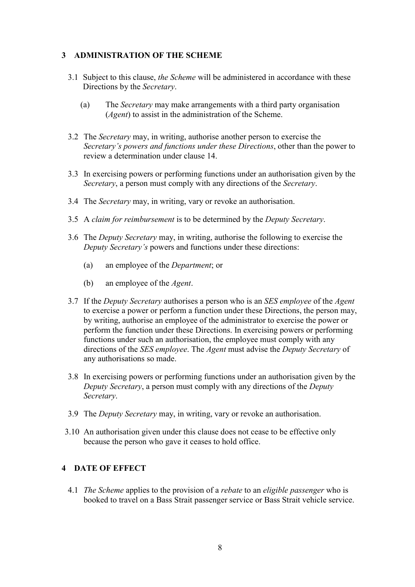## 3 ADMINISTRATION OF THE SCHEME

- 3.1 Subject to this clause, the Scheme will be administered in accordance with these Directions by the Secretary.
	- (a) The Secretary may make arrangements with a third party organisation (Agent) to assist in the administration of the Scheme.
- 3.2 The *Secretary* may, in writing, authorise another person to exercise the Secretary's powers and functions under these Directions, other than the power to review a determination under clause 14.
- 3.3 In exercising powers or performing functions under an authorisation given by the Secretary, a person must comply with any directions of the Secretary.
- 3.4 The Secretary may, in writing, vary or revoke an authorisation.
- 3.5 A claim for reimbursement is to be determined by the Deputy Secretary.
- 3.6 The Deputy Secretary may, in writing, authorise the following to exercise the Deputy Secretary's powers and functions under these directions:
	- (a) an employee of the Department; or
	- (b) an employee of the Agent.
- 3.7 If the *Deputy Secretary* authorises a person who is an *SES employee* of the *Agent* to exercise a power or perform a function under these Directions, the person may, by writing, authorise an employee of the administrator to exercise the power or perform the function under these Directions. In exercising powers or performing functions under such an authorisation, the employee must comply with any directions of the SES employee. The Agent must advise the Deputy Secretary of any authorisations so made.
- 3.8 In exercising powers or performing functions under an authorisation given by the Deputy Secretary, a person must comply with any directions of the Deputy Secretary.
- 3.9 The Deputy Secretary may, in writing, vary or revoke an authorisation.
- 3.10 An authorisation given under this clause does not cease to be effective only because the person who gave it ceases to hold office.

#### 4 DATE OF EFFECT

4.1 *The Scheme applies to the provision of a rebate to an eligible passenger* who is booked to travel on a Bass Strait passenger service or Bass Strait vehicle service.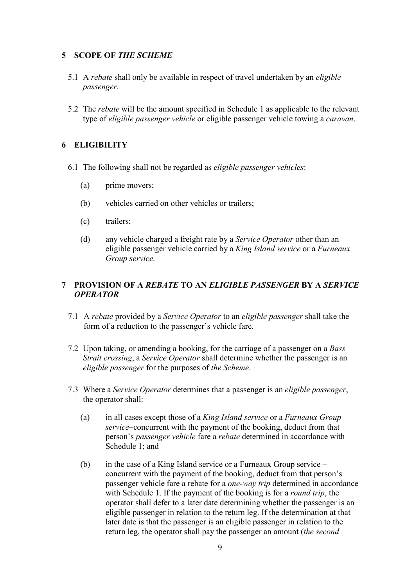# 5 SCOPE OF THE SCHEME

- 5.1 A rebate shall only be available in respect of travel undertaken by an eligible passenger.
- 5.2 The rebate will be the amount specified in Schedule 1 as applicable to the relevant type of *eligible passenger vehicle* or eligible passenger vehicle towing a *caravan*.

# 6 ELIGIBILITY

- 6.1 The following shall not be regarded as eligible passenger vehicles:
	- (a) prime movers;
	- (b) vehicles carried on other vehicles or trailers;
	- (c) trailers;
	- (d) any vehicle charged a freight rate by a *Service Operator* other than an eligible passenger vehicle carried by a King Island service or a Furneaux Group service.

# 7 PROVISION OF A REBATE TO AN ELIGIBLE PASSENGER BY A SERVICE **OPERATOR**

- 7.1 A rebate provided by a Service Operator to an eligible passenger shall take the form of a reduction to the passenger's vehicle fare.
- 7.2 Upon taking, or amending a booking, for the carriage of a passenger on a Bass Strait crossing, a Service Operator shall determine whether the passenger is an eligible passenger for the purposes of the Scheme.
- 7.3 Where a Service Operator determines that a passenger is an eligible passenger, the operator shall:
	- (a) in all cases except those of a King Island service or a Furneaux Group service–concurrent with the payment of the booking, deduct from that person's passenger vehicle fare a rebate determined in accordance with Schedule 1; and
	- (b) in the case of a King Island service or a Furneaux Group service concurrent with the payment of the booking, deduct from that person's passenger vehicle fare a rebate for a one-way trip determined in accordance with Schedule 1. If the payment of the booking is for a *round trip*, the operator shall defer to a later date determining whether the passenger is an eligible passenger in relation to the return leg. If the determination at that later date is that the passenger is an eligible passenger in relation to the return leg, the operator shall pay the passenger an amount (the second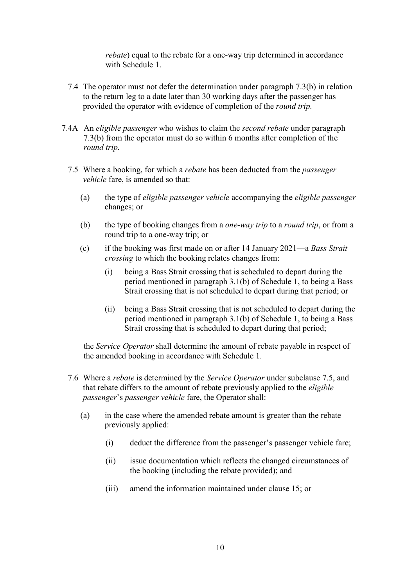rebate) equal to the rebate for a one-way trip determined in accordance with Schedule 1.

- 7.4 The operator must not defer the determination under paragraph 7.3(b) in relation to the return leg to a date later than 30 working days after the passenger has provided the operator with evidence of completion of the *round trip*.
- 7.4A An *eligible passenger* who wishes to claim the *second rebate* under paragraph 7.3(b) from the operator must do so within 6 months after completion of the round trip.
	- 7.5 Where a booking, for which a *rebate* has been deducted from the *passenger* vehicle fare, is amended so that:
		- (a) the type of eligible passenger vehicle accompanying the eligible passenger changes; or
		- (b) the type of booking changes from a one-way trip to a round trip, or from a round trip to a one-way trip; or
		- (c) if the booking was first made on or after 14 January 2021—a Bass Strait crossing to which the booking relates changes from:
			- (i) being a Bass Strait crossing that is scheduled to depart during the period mentioned in paragraph 3.1(b) of Schedule 1, to being a Bass Strait crossing that is not scheduled to depart during that period; or
			- (ii) being a Bass Strait crossing that is not scheduled to depart during the period mentioned in paragraph 3.1(b) of Schedule 1, to being a Bass Strait crossing that is scheduled to depart during that period;

the Service Operator shall determine the amount of rebate payable in respect of the amended booking in accordance with Schedule 1.

- 7.6 Where a rebate is determined by the Service Operator under subclause 7.5, and that rebate differs to the amount of rebate previously applied to the eligible passenger's passenger vehicle fare, the Operator shall:
	- (a) in the case where the amended rebate amount is greater than the rebate previously applied:
		- (i) deduct the difference from the passenger's passenger vehicle fare;
		- (ii) issue documentation which reflects the changed circumstances of the booking (including the rebate provided); and
		- (iii) amend the information maintained under clause 15; or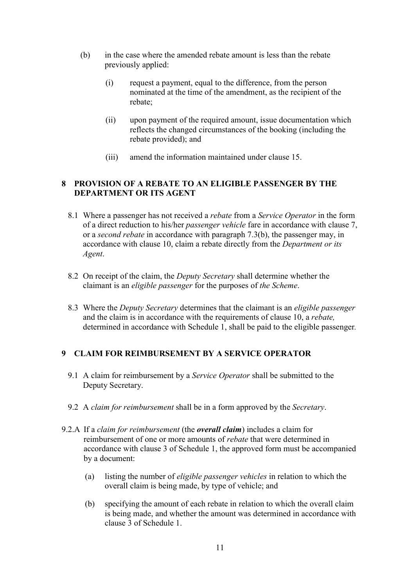- (b) in the case where the amended rebate amount is less than the rebate previously applied:
	- (i) request a payment, equal to the difference, from the person nominated at the time of the amendment, as the recipient of the rebate;
	- (ii) upon payment of the required amount, issue documentation which reflects the changed circumstances of the booking (including the rebate provided); and
	- (iii) amend the information maintained under clause 15.

# 8 PROVISION OF A REBATE TO AN ELIGIBLE PASSENGER BY THE DEPARTMENT OR ITS AGENT

- 8.1 Where a passenger has not received a *rebate* from a *Service Operator* in the form of a direct reduction to his/her passenger vehicle fare in accordance with clause 7, or a second rebate in accordance with paragraph 7.3(b), the passenger may, in accordance with clause 10, claim a rebate directly from the Department or its Agent.
- 8.2 On receipt of the claim, the *Deputy Secretary* shall determine whether the claimant is an eligible passenger for the purposes of the Scheme.
- 8.3 Where the *Deputy Secretary* determines that the claimant is an *eligible passenger* and the claim is in accordance with the requirements of clause 10, a *rebate*, determined in accordance with Schedule 1, shall be paid to the eligible passenger.

# 9 CLAIM FOR REIMBURSEMENT BY A SERVICE OPERATOR

- 9.1 A claim for reimbursement by a Service Operator shall be submitted to the Deputy Secretary.
- 9.2 A claim for reimbursement shall be in a form approved by the Secretary.
- 9.2.A If a claim for reimbursement (the **overall claim**) includes a claim for reimbursement of one or more amounts of rebate that were determined in accordance with clause 3 of Schedule 1, the approved form must be accompanied by a document:
	- (a) listing the number of eligible passenger vehicles in relation to which the overall claim is being made, by type of vehicle; and
	- (b) specifying the amount of each rebate in relation to which the overall claim is being made, and whether the amount was determined in accordance with clause 3 of Schedule 1.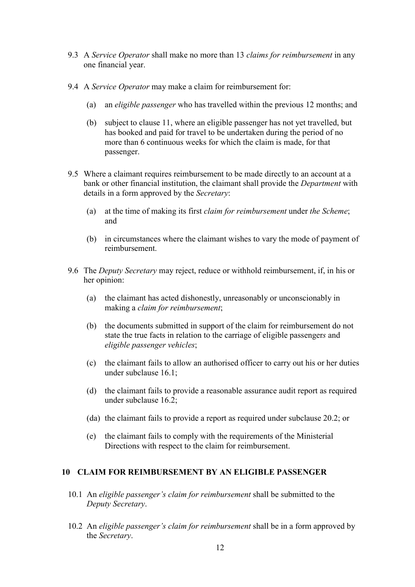- 9.3 A Service Operator shall make no more than 13 claims for reimbursement in any one financial year.
- 9.4 A Service Operator may make a claim for reimbursement for:
	- (a) an eligible passenger who has travelled within the previous 12 months; and
	- (b) subject to clause 11, where an eligible passenger has not yet travelled, but has booked and paid for travel to be undertaken during the period of no more than 6 continuous weeks for which the claim is made, for that passenger.
- 9.5 Where a claimant requires reimbursement to be made directly to an account at a bank or other financial institution, the claimant shall provide the Department with details in a form approved by the Secretary:
	- (a) at the time of making its first claim for reimbursement under the Scheme; and
	- (b) in circumstances where the claimant wishes to vary the mode of payment of reimbursement.
- 9.6 The Deputy Secretary may reject, reduce or withhold reimbursement, if, in his or her opinion:
	- (a) the claimant has acted dishonestly, unreasonably or unconscionably in making a *claim for reimbursement*;
	- (b) the documents submitted in support of the claim for reimbursement do not state the true facts in relation to the carriage of eligible passengers and eligible passenger vehicles;
	- (c) the claimant fails to allow an authorised officer to carry out his or her duties under subclause 16.1;
	- (d) the claimant fails to provide a reasonable assurance audit report as required under subclause 16.2;
	- (da) the claimant fails to provide a report as required under subclause 20.2; or
	- (e) the claimant fails to comply with the requirements of the Ministerial Directions with respect to the claim for reimbursement.

#### 10 CLAIM FOR REIMBURSEMENT BY AN ELIGIBLE PASSENGER

- 10.1 An eligible passenger's claim for reimbursement shall be submitted to the Deputy Secretary.
- 10.2 An eligible passenger's claim for reimbursement shall be in a form approved by the Secretary.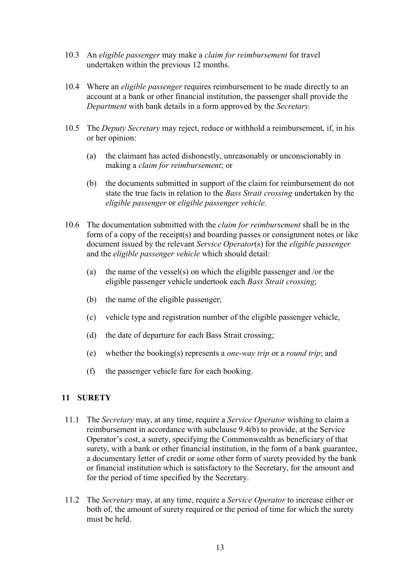- 10.3 An eligible passenger may make a claim for reimbursement for travel undertaken within the previous 12 months.
- 10.4 Where an *eligible passenger* requires reimbursement to be made directly to an account at a bank or other financial institution, the passenger shall provide the Department with bank details in a form approved by the Secretary.
- 10.5 The *Deputy Secretary* may reject, reduce or withhold a reimbursement, if, in his or her opinion:
	- (a) the claimant has acted dishonestly, unreasonably or unconscionably in making a claim for reimbursement; or
	- (b) the documents submitted in support of the claim for reimbursement do not state the true facts in relation to the Bass Strait crossing undertaken by the eligible passenger or eligible passenger vehicle.
- 10.6 The documentation submitted with the *claim for reimbursement* shall be in the form of a copy of the receipt(s) and boarding passes or consignment notes or like document issued by the relevant Service Operator(s) for the eligible passenger and the eligible passenger vehicle which should detail:
	- (a) the name of the vessel(s) on which the eligible passenger and /or the eligible passenger vehicle undertook each Bass Strait crossing;
	- (b) the name of the eligible passenger;
	- (c) vehicle type and registration number of the eligible passenger vehicle,
	- (d) the date of departure for each Bass Strait crossing;
	- (e) whether the booking(s) represents a one-way trip or a round trip; and
	- (f) the passenger vehicle fare for each booking.

# 11 SURETY

- 11.1 The Secretary may, at any time, require a Service Operator wishing to claim a reimbursement in accordance with subclause 9.4(b) to provide, at the Service Operator's cost, a surety, specifying the Commonwealth as beneficiary of that surety, with a bank or other financial institution, in the form of a bank guarantee, a documentary letter of credit or some other form of surety provided by the bank or financial institution which is satisfactory to the Secretary, for the amount and for the period of time specified by the Secretary.
- 11.2 The Secretary may, at any time, require a Service Operator to increase either or both of, the amount of surety required or the period of time for which the surety must be held.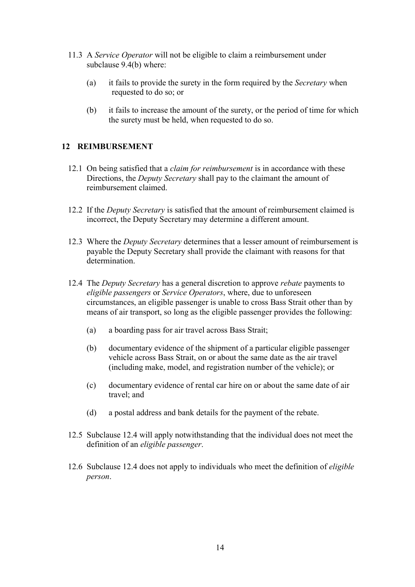- 11.3 A Service Operator will not be eligible to claim a reimbursement under subclause 9.4(b) where:
	- (a) it fails to provide the surety in the form required by the Secretary when requested to do so; or
	- (b) it fails to increase the amount of the surety, or the period of time for which the surety must be held, when requested to do so.

### 12 REIMBURSEMENT

- 12.1 On being satisfied that a *claim for reimbursement* is in accordance with these Directions, the Deputy Secretary shall pay to the claimant the amount of reimbursement claimed.
- 12.2 If the *Deputy Secretary* is satisfied that the amount of reimbursement claimed is incorrect, the Deputy Secretary may determine a different amount.
- 12.3 Where the *Deputy Secretary* determines that a lesser amount of reimbursement is payable the Deputy Secretary shall provide the claimant with reasons for that determination.
- 12.4 The Deputy Secretary has a general discretion to approve rebate payments to eligible passengers or Service Operators, where, due to unforeseen circumstances, an eligible passenger is unable to cross Bass Strait other than by means of air transport, so long as the eligible passenger provides the following:
	- (a) a boarding pass for air travel across Bass Strait;
	- (b) documentary evidence of the shipment of a particular eligible passenger vehicle across Bass Strait, on or about the same date as the air travel (including make, model, and registration number of the vehicle); or
	- (c) documentary evidence of rental car hire on or about the same date of air travel; and
	- (d) a postal address and bank details for the payment of the rebate.
- 12.5 Subclause 12.4 will apply notwithstanding that the individual does not meet the definition of an eligible passenger.
- 12.6 Subclause 12.4 does not apply to individuals who meet the definition of eligible person.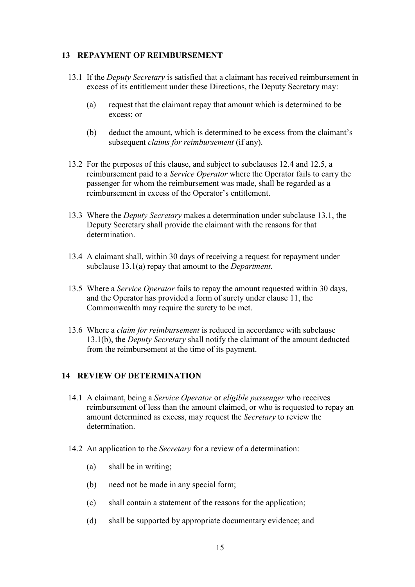#### 13 REPAYMENT OF REIMBURSEMENT

- 13.1 If the *Deputy Secretary* is satisfied that a claimant has received reimbursement in excess of its entitlement under these Directions, the Deputy Secretary may:
	- (a) request that the claimant repay that amount which is determined to be excess; or
	- (b) deduct the amount, which is determined to be excess from the claimant's subsequent *claims for reimbursement* (if any).
- 13.2 For the purposes of this clause, and subject to subclauses 12.4 and 12.5, a reimbursement paid to a Service Operator where the Operator fails to carry the passenger for whom the reimbursement was made, shall be regarded as a reimbursement in excess of the Operator's entitlement.
- 13.3 Where the Deputy Secretary makes a determination under subclause 13.1, the Deputy Secretary shall provide the claimant with the reasons for that determination.
- 13.4 A claimant shall, within 30 days of receiving a request for repayment under subclause 13.1(a) repay that amount to the *Department*.
- 13.5 Where a *Service Operator* fails to repay the amount requested within 30 days, and the Operator has provided a form of surety under clause 11, the Commonwealth may require the surety to be met.
- 13.6 Where a *claim for reimbursement* is reduced in accordance with subclause 13.1(b), the Deputy Secretary shall notify the claimant of the amount deducted from the reimbursement at the time of its payment.

#### 14 REVIEW OF DETERMINATION

- 14.1 A claimant, being a Service Operator or eligible passenger who receives reimbursement of less than the amount claimed, or who is requested to repay an amount determined as excess, may request the Secretary to review the determination.
- 14.2 An application to the Secretary for a review of a determination:
	- (a) shall be in writing;
	- (b) need not be made in any special form;
	- (c) shall contain a statement of the reasons for the application;
	- (d) shall be supported by appropriate documentary evidence; and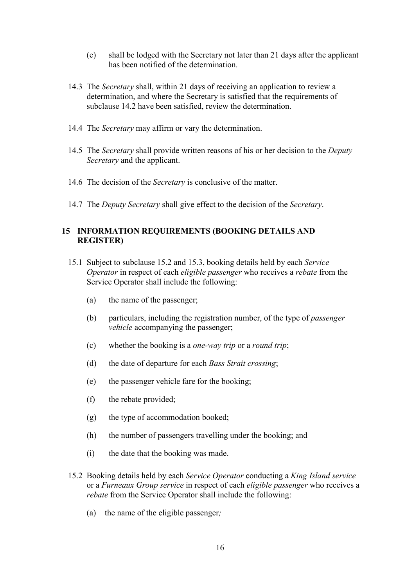- (e) shall be lodged with the Secretary not later than 21 days after the applicant has been notified of the determination.
- 14.3 The Secretary shall, within 21 days of receiving an application to review a determination, and where the Secretary is satisfied that the requirements of subclause 14.2 have been satisfied, review the determination.
- 14.4 The Secretary may affirm or vary the determination.
- 14.5 The *Secretary* shall provide written reasons of his or her decision to the *Deputy* Secretary and the applicant.
- 14.6 The decision of the Secretary is conclusive of the matter.
- 14.7 The *Deputy Secretary* shall give effect to the decision of the *Secretary*.

#### 15 INFORMATION REQUIREMENTS (BOOKING DETAILS AND REGISTER)

- 15.1 Subject to subclause 15.2 and 15.3, booking details held by each Service Operator in respect of each eligible passenger who receives a rebate from the Service Operator shall include the following:
	- (a) the name of the passenger;
	- (b) particulars, including the registration number, of the type of passenger vehicle accompanying the passenger;
	- (c) whether the booking is a one-way trip or a round trip;
	- (d) the date of departure for each *Bass Strait crossing*;
	- (e) the passenger vehicle fare for the booking;
	- (f) the rebate provided;
	- (g) the type of accommodation booked;
	- (h) the number of passengers travelling under the booking; and
	- (i) the date that the booking was made.
- 15.2 Booking details held by each Service Operator conducting a King Island service or a Furneaux Group service in respect of each eligible passenger who receives a rebate from the Service Operator shall include the following:
	- (a) the name of the eligible passenger;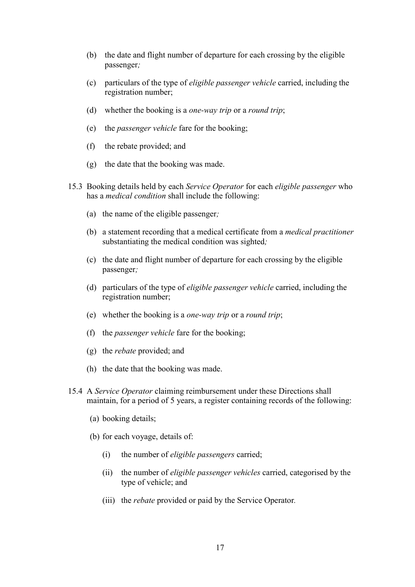- (b) the date and flight number of departure for each crossing by the eligible passenger;
- (c) particulars of the type of eligible passenger vehicle carried, including the registration number;
- (d) whether the booking is a *one-way trip* or a *round trip*;
- (e) the passenger vehicle fare for the booking;
- (f) the rebate provided; and
- (g) the date that the booking was made.
- 15.3 Booking details held by each Service Operator for each eligible passenger who has a medical condition shall include the following:
	- (a) the name of the eligible passenger;
	- (b) a statement recording that a medical certificate from a medical practitioner substantiating the medical condition was sighted;
	- (c) the date and flight number of departure for each crossing by the eligible passenger;
	- (d) particulars of the type of eligible passenger vehicle carried, including the registration number;
	- (e) whether the booking is a one-way trip or a round trip;
	- (f) the passenger vehicle fare for the booking;
	- (g) the rebate provided; and
	- (h) the date that the booking was made.
- 15.4 A Service Operator claiming reimbursement under these Directions shall maintain, for a period of 5 years, a register containing records of the following:
	- (a) booking details;
	- (b) for each voyage, details of:
		- (i) the number of eligible passengers carried;
		- (ii) the number of eligible passenger vehicles carried, categorised by the type of vehicle; and
		- (iii) the *rebate* provided or paid by the Service Operator.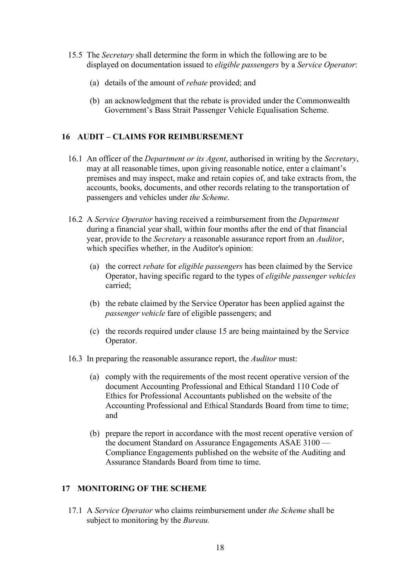- 15.5 The Secretary shall determine the form in which the following are to be displayed on documentation issued to *eligible passengers* by a Service Operator:
	- (a) details of the amount of rebate provided; and
	- (b) an acknowledgment that the rebate is provided under the Commonwealth Government's Bass Strait Passenger Vehicle Equalisation Scheme.

#### 16 AUDIT – CLAIMS FOR REIMBURSEMENT

- 16.1 An officer of the *Department or its Agent*, authorised in writing by the *Secretary*, may at all reasonable times, upon giving reasonable notice, enter a claimant's premises and may inspect, make and retain copies of, and take extracts from, the accounts, books, documents, and other records relating to the transportation of passengers and vehicles under the Scheme.
- 16.2 A Service Operator having received a reimbursement from the Department during a financial year shall, within four months after the end of that financial year, provide to the Secretary a reasonable assurance report from an Auditor, which specifies whether, in the Auditor's opinion:
	- (a) the correct rebate for eligible passengers has been claimed by the Service Operator, having specific regard to the types of eligible passenger vehicles carried;
	- (b) the rebate claimed by the Service Operator has been applied against the passenger vehicle fare of eligible passengers; and
	- (c) the records required under clause 15 are being maintained by the Service Operator.
- 16.3 In preparing the reasonable assurance report, the Auditor must:
	- (a) comply with the requirements of the most recent operative version of the document Accounting Professional and Ethical Standard 110 Code of Ethics for Professional Accountants published on the website of the Accounting Professional and Ethical Standards Board from time to time; and
	- (b) prepare the report in accordance with the most recent operative version of the document Standard on Assurance Engagements ASAE 3100 — Compliance Engagements published on the website of the Auditing and Assurance Standards Board from time to time.

### 17 MONITORING OF THE SCHEME

17.1 A Service Operator who claims reimbursement under the Scheme shall be subject to monitoring by the *Bureau*.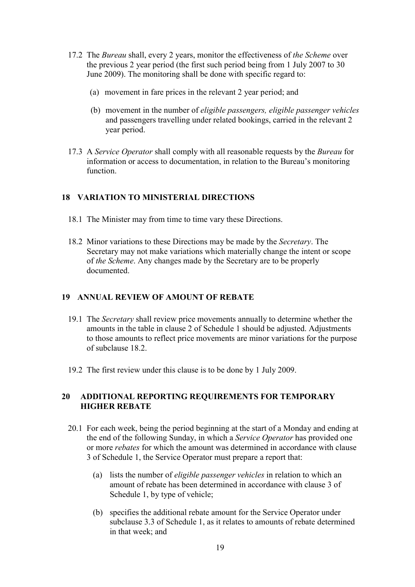- 17.2 The Bureau shall, every 2 years, monitor the effectiveness of the Scheme over the previous 2 year period (the first such period being from 1 July 2007 to 30 June 2009). The monitoring shall be done with specific regard to:
	- (a) movement in fare prices in the relevant 2 year period; and
	- (b) movement in the number of eligible passengers, eligible passenger vehicles and passengers travelling under related bookings, carried in the relevant 2 year period.
- 17.3 A Service Operator shall comply with all reasonable requests by the Bureau for information or access to documentation, in relation to the Bureau's monitoring function.

#### 18 VARIATION TO MINISTERIAL DIRECTIONS

- 18.1 The Minister may from time to time vary these Directions.
- 18.2 Minor variations to these Directions may be made by the Secretary. The Secretary may not make variations which materially change the intent or scope of the Scheme. Any changes made by the Secretary are to be properly documented.

#### 19 ANNUAL REVIEW OF AMOUNT OF REBATE

- 19.1 The Secretary shall review price movements annually to determine whether the amounts in the table in clause 2 of Schedule 1 should be adjusted. Adjustments to those amounts to reflect price movements are minor variations for the purpose of subclause 18.2.
- 19.2 The first review under this clause is to be done by 1 July 2009.

#### 20 ADDITIONAL REPORTING REQUIREMENTS FOR TEMPORARY HIGHER REBATE

- 20.1 For each week, being the period beginning at the start of a Monday and ending at the end of the following Sunday, in which a Service Operator has provided one or more rebates for which the amount was determined in accordance with clause 3 of Schedule 1, the Service Operator must prepare a report that:
	- (a) lists the number of eligible passenger vehicles in relation to which an amount of rebate has been determined in accordance with clause 3 of Schedule 1, by type of vehicle;
	- (b) specifies the additional rebate amount for the Service Operator under subclause 3.3 of Schedule 1, as it relates to amounts of rebate determined in that week; and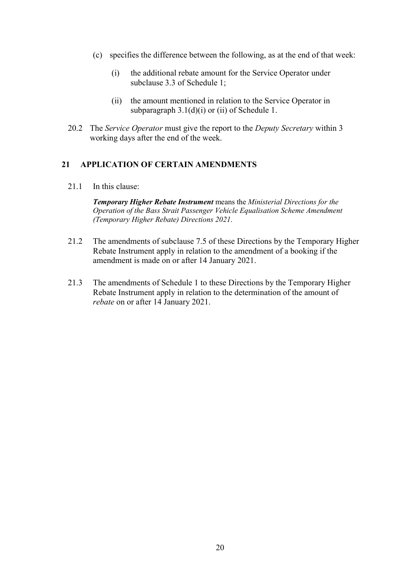- (c) specifies the difference between the following, as at the end of that week:
	- (i) the additional rebate amount for the Service Operator under subclause 3.3 of Schedule 1;
	- (ii) the amount mentioned in relation to the Service Operator in subparagraph  $3.1(d)(i)$  or (ii) of Schedule 1.
- 20.2 The Service Operator must give the report to the Deputy Secretary within 3 working days after the end of the week.

#### 21 APPLICATION OF CERTAIN AMENDMENTS

21.1 In this clause:

Temporary Higher Rebate Instrument means the Ministerial Directions for the Operation of the Bass Strait Passenger Vehicle Equalisation Scheme Amendment (Temporary Higher Rebate) Directions 2021.

- 21.2 The amendments of subclause 7.5 of these Directions by the Temporary Higher Rebate Instrument apply in relation to the amendment of a booking if the amendment is made on or after 14 January 2021.
- 21.3 The amendments of Schedule 1 to these Directions by the Temporary Higher Rebate Instrument apply in relation to the determination of the amount of rebate on or after 14 January 2021.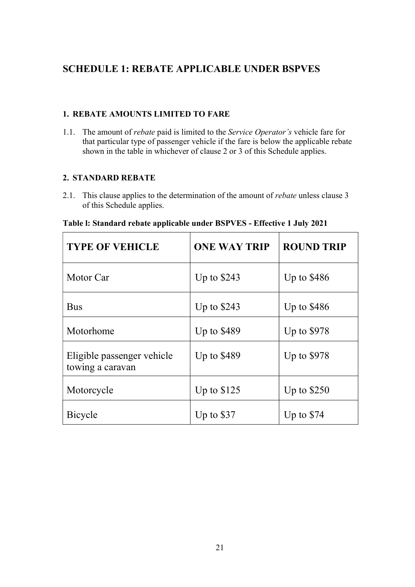# SCHEDULE 1: REBATE APPLICABLE UNDER BSPVES

# 1. REBATE AMOUNTS LIMITED TO FARE

1.1. The amount of rebate paid is limited to the Service Operator's vehicle fare for that particular type of passenger vehicle if the fare is below the applicable rebate shown in the table in whichever of clause 2 or 3 of this Schedule applies.

# 2. STANDARD REBATE

2.1. This clause applies to the determination of the amount of *rebate* unless clause 3 of this Schedule applies.

| Table I: Standard rebate applicable under BSPVES - Effective 1 July 2021 |  |  |  |  |  |  |  |  |  |
|--------------------------------------------------------------------------|--|--|--|--|--|--|--|--|--|
|--------------------------------------------------------------------------|--|--|--|--|--|--|--|--|--|

| <b>TYPE OF VEHICLE</b>                         | <b>ONE WAY TRIP</b> | <b>ROUND TRIP</b> |
|------------------------------------------------|---------------------|-------------------|
| Motor Car                                      | Up to $$243$        | Up to $$486$      |
| <b>Bus</b>                                     | Up to \$243         | Up to $$486$      |
| Motorhome                                      | Up to $$489$        | Up to \$978       |
| Eligible passenger vehicle<br>towing a caravan | Up to \$489         | Up to \$978       |
| Motorcycle                                     | Up to $$125$        | Up to $$250$      |
| Bicycle                                        | Up to $$37$         | Up to $$74$       |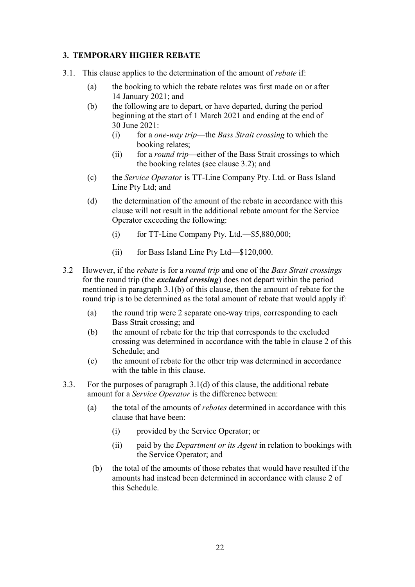# 3. TEMPORARY HIGHER REBATE

- 3.1. This clause applies to the determination of the amount of rebate if:
	- (a) the booking to which the rebate relates was first made on or after 14 January 2021; and
	- (b) the following are to depart, or have departed, during the period beginning at the start of 1 March 2021 and ending at the end of 30 June 2021:
		- (i) for a *one-way trip*—the *Bass Strait crossing* to which the booking relates;
		- (ii) for a *round trip*—either of the Bass Strait crossings to which the booking relates (see clause 3.2); and
	- (c) the Service Operator is TT-Line Company Pty. Ltd. or Bass Island Line Pty Ltd; and
	- (d) the determination of the amount of the rebate in accordance with this clause will not result in the additional rebate amount for the Service Operator exceeding the following:
		- $(i)$  for TT-Line Company Pty. Ltd.—\$5,880,000;
		- (ii) for Bass Island Line Pty Ltd—\$120,000.
- 3.2 However, if the *rebate* is for a *round trip* and one of the *Bass Strait crossings* for the round trip (the excluded crossing) does not depart within the period mentioned in paragraph 3.1(b) of this clause, then the amount of rebate for the round trip is to be determined as the total amount of rebate that would apply if:
	- (a) the round trip were 2 separate one-way trips, corresponding to each Bass Strait crossing; and
	- (b) the amount of rebate for the trip that corresponds to the excluded crossing was determined in accordance with the table in clause 2 of this Schedule; and
	- (c) the amount of rebate for the other trip was determined in accordance with the table in this clause.
- 3.3. For the purposes of paragraph 3.1(d) of this clause, the additional rebate amount for a Service Operator is the difference between:
	- (a) the total of the amounts of *rebates* determined in accordance with this clause that have been:
		- (i) provided by the Service Operator; or
		- (ii) paid by the *Department or its Agent* in relation to bookings with the Service Operator; and
		- (b) the total of the amounts of those rebates that would have resulted if the amounts had instead been determined in accordance with clause 2 of this Schedule.